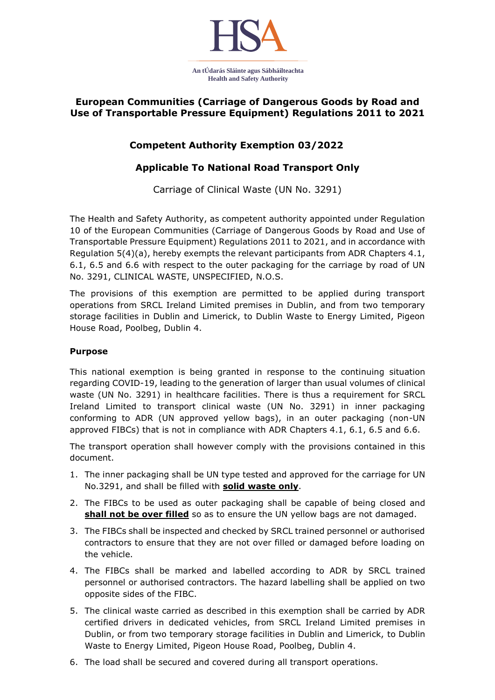

## **European Communities (Carriage of Dangerous Goods by Road and Use of Transportable Pressure Equipment) Regulations 2011 to 2021**

## **Competent Authority Exemption 03/2022**

## **Applicable To National Road Transport Only**

Carriage of Clinical Waste (UN No. 3291)

The Health and Safety Authority, as competent authority appointed under Regulation 10 of the European Communities (Carriage of Dangerous Goods by Road and Use of Transportable Pressure Equipment) Regulations 2011 to 2021, and in accordance with Regulation 5(4)(a), hereby exempts the relevant participants from ADR Chapters 4.1, 6.1, 6.5 and 6.6 with respect to the outer packaging for the carriage by road of UN No. 3291, CLINICAL WASTE, UNSPECIFIED, N.O.S.

The provisions of this exemption are permitted to be applied during transport operations from SRCL Ireland Limited premises in Dublin, and from two temporary storage facilities in Dublin and Limerick, to Dublin Waste to Energy Limited, Pigeon House Road, Poolbeg, Dublin 4.

## **Purpose**

This national exemption is being granted in response to the continuing situation regarding COVID-19, leading to the generation of larger than usual volumes of clinical waste (UN No. 3291) in healthcare facilities. There is thus a requirement for SRCL Ireland Limited to transport clinical waste (UN No. 3291) in inner packaging conforming to ADR (UN approved yellow bags), in an outer packaging (non-UN approved FIBCs) that is not in compliance with ADR Chapters 4.1, 6.1, 6.5 and 6.6.

The transport operation shall however comply with the provisions contained in this document.

- 1. The inner packaging shall be UN type tested and approved for the carriage for UN No.3291, and shall be filled with **solid waste only**.
- 2. The FIBCs to be used as outer packaging shall be capable of being closed and shall not be over filled so as to ensure the UN yellow bags are not damaged.
- 3. The FIBCs shall be inspected and checked by SRCL trained personnel or authorised contractors to ensure that they are not over filled or damaged before loading on the vehicle.
- 4. The FIBCs shall be marked and labelled according to ADR by SRCL trained personnel or authorised contractors. The hazard labelling shall be applied on two opposite sides of the FIBC.
- 5. The clinical waste carried as described in this exemption shall be carried by ADR certified drivers in dedicated vehicles, from SRCL Ireland Limited premises in Dublin, or from two temporary storage facilities in Dublin and Limerick, to Dublin Waste to Energy Limited, Pigeon House Road, Poolbeg, Dublin 4.
- 6. The load shall be secured and covered during all transport operations.